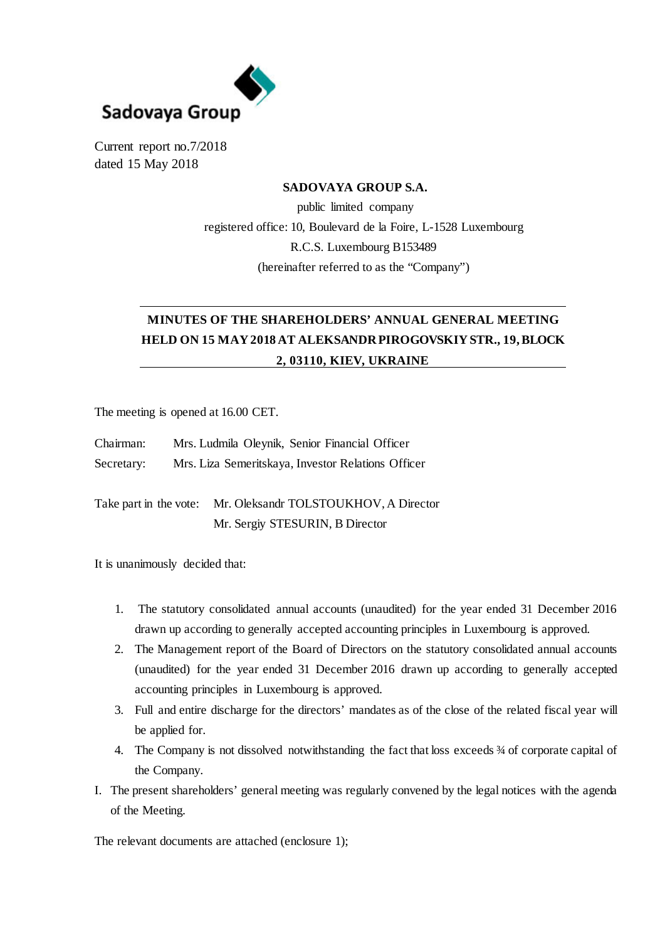

Current report no.7/2018 dated 15 May 2018

### **SADOVAYA GROUP S.A.**

public limited company registered office: 10, Boulevard de la Foire, L-1528 Luxembourg R.C.S. Luxembourg B153489 (hereinafter referred to as the "Company")

# **MINUTES OF THE SHAREHOLDERS' ANNUAL GENERAL MEETING HELD ON 15 MAY 2018 AT ALEKSANDR PIROGOVSKIY STR., 19, BLOCK 2, 03110, KIEV, UKRAINE**

The meeting is opened at 16.00 CET.

| Chairman:  | Mrs. Ludmila Oleynik, Senior Financial Officer     |
|------------|----------------------------------------------------|
| Secretary: | Mrs. Liza Semeritskaya, Investor Relations Officer |

Take part in the vote: Mr. Oleksandr TOLSTOUKHOV, A Director Mr. Sergiy STESURIN, B Director

It is unanimously decided that:

- 1. The statutory consolidated annual accounts (unaudited) for the year ended 31 December 2016 drawn up according to generally accepted accounting principles in Luxembourg is approved.
- 2. The Management report of the Board of Directors on the statutory consolidated annual accounts (unaudited) for the year ended 31 December 2016 drawn up according to generally accepted accounting principles in Luxembourg is approved.
- 3. Full and entire discharge for the directors' mandates as of the close of the related fiscal year will be applied for.
- 4. The Company is not dissolved notwithstanding the fact that loss exceeds  $\frac{3}{4}$  of corporate capital of the Company.
- I. The present shareholders' general meeting was regularly convened by the legal notices with the agenda of the Meeting.

The relevant documents are attached (enclosure 1);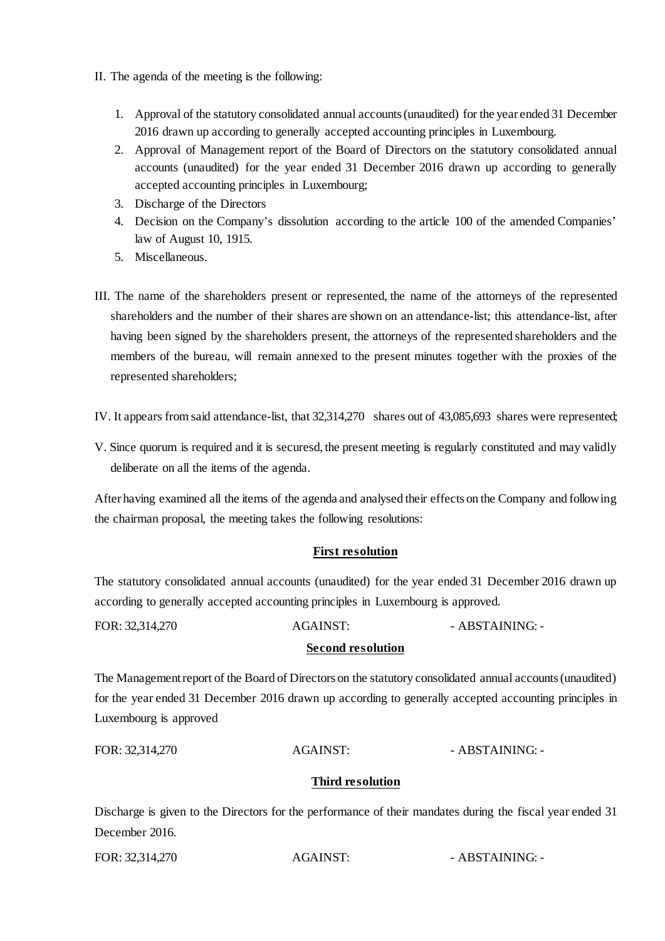- II. The agenda of the meeting is the following:
	- 1. Approval of the statutory consolidated annual accounts (unaudited) for the year ended 31 December 2016 drawn up according to generally accepted accounting principles in Luxembourg.
	- 2. Approval of Management report of the Board of Directors on the statutory consolidated annual accounts (unaudited) for the year ended 31 December 2016 drawn up according to generally accepted accounting principles in Luxembourg;
	- 3. Discharge of the Directors
	- 4. Decision on the Company's dissolution according to the article 100 of the amended Companies' law of August 10, 1915.
	- 5. Miscellaneous.
- III. The name of the shareholders present or represented, the name of the attorneys of the represented shareholders and the number of their shares are shown on an attendance-list; this attendance-list, after having been signed by the shareholders present, the attorneys of the represented shareholders and the members of the bureau, will remain annexed to the present minutes together with the proxies of the represented shareholders;

IV. It appears from said attendance-list, that 32,314,270 shares out of 43,085,693 shares were represented;

V. Since quorum is required and it is securesd, the present meeting is regularly constituted and may validly deliberate on all the items of the agenda.

After having examined all the items of the agenda and analysed their effects on the Company and following the chairman proposal, the meeting takes the following resolutions:

## **First resolution**

The statutory consolidated annual accounts (unaudited) for the year ended 31 December 2016 drawn up according to generally accepted accounting principles in Luxembourg is approved.

| FOR: 32,314,270 | <b>AGAINST:</b> | - ABSTAINING: - |
|-----------------|-----------------|-----------------|
|                 |                 |                 |

#### **Second resolution**

The Management report of the Board of Directors on the statutory consolidated annual accounts (unaudited) for the year ended 31 December 2016 drawn up according to generally accepted accounting principles in Luxembourg is approved

#### **Third resolution**

Discharge is given to the Directors for the performance of their mandates during the fiscal year ended 31 December 2016.

| FOR: 32,314,270 | AGAINST: | - ABSTAINING: - |
|-----------------|----------|-----------------|
|                 |          |                 |